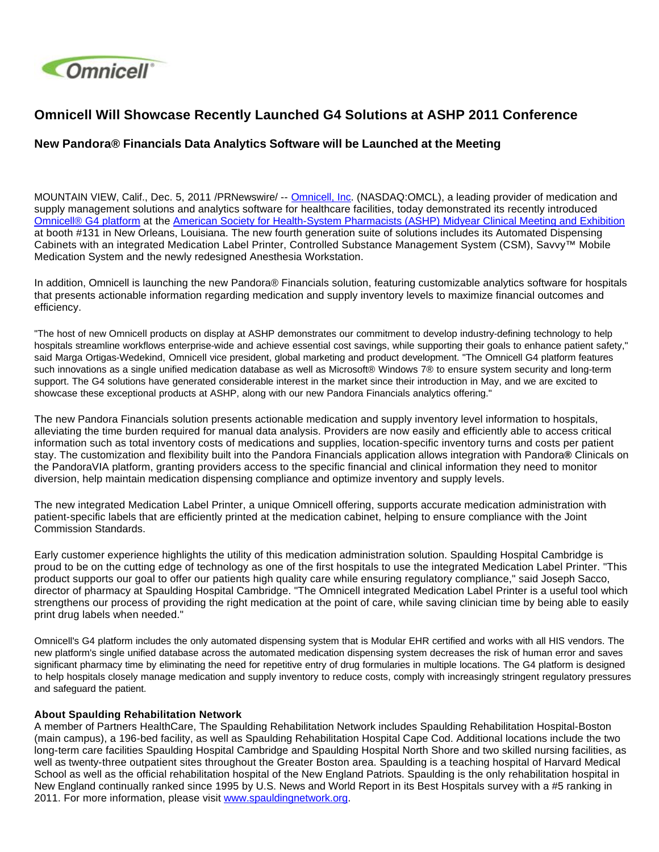

## **Omnicell Will Showcase Recently Launched G4 Solutions at ASHP 2011 Conference**

## **New Pandora® Financials Data Analytics Software will be Launched at the Meeting**

MOUNTAIN VIEW, Calif., Dec. 5, 2011 /PRNewswire/ -- [Omnicell, Inc](http://www.omnicell.com/). (NASDAQ:OMCL), a leading provider of medication and supply management solutions and analytics software for healthcare facilities, today demonstrated its recently introduced [Omnicell® G4 platform](http://www.omnicell.com/Products.aspx) at the [American Society for Health-System Pharmacists \(ASHP\) Midyear Clinical Meeting and Exhibition](http://www.ashp.org/midyear2011) at booth #131 in New Orleans, Louisiana. The new fourth generation suite of solutions includes its Automated Dispensing Cabinets with an integrated Medication Label Printer, Controlled Substance Management System (CSM), Savvy™ Mobile Medication System and the newly redesigned Anesthesia Workstation.

In addition, Omnicell is launching the new Pandora® Financials solution, featuring customizable analytics software for hospitals that presents actionable information regarding medication and supply inventory levels to maximize financial outcomes and efficiency.

"The host of new Omnicell products on display at ASHP demonstrates our commitment to develop industry-defining technology to help hospitals streamline workflows enterprise-wide and achieve essential cost savings, while supporting their goals to enhance patient safety," said Marga Ortigas-Wedekind, Omnicell vice president, global marketing and product development. "The Omnicell G4 platform features such innovations as a single unified medication database as well as Microsoft® Windows 7® to ensure system security and long-term support. The G4 solutions have generated considerable interest in the market since their introduction in May, and we are excited to showcase these exceptional products at ASHP, along with our new Pandora Financials analytics offering."

The new Pandora Financials solution presents actionable medication and supply inventory level information to hospitals, alleviating the time burden required for manual data analysis. Providers are now easily and efficiently able to access critical information such as total inventory costs of medications and supplies, location-specific inventory turns and costs per patient stay. The customization and flexibility built into the Pandora Financials application allows integration with Pandora**®** Clinicals on the PandoraVIA platform, granting providers access to the specific financial and clinical information they need to monitor diversion, help maintain medication dispensing compliance and optimize inventory and supply levels.

The new integrated Medication Label Printer, a unique Omnicell offering, supports accurate medication administration with patient-specific labels that are efficiently printed at the medication cabinet, helping to ensure compliance with the Joint Commission Standards.

Early customer experience highlights the utility of this medication administration solution. Spaulding Hospital Cambridge is proud to be on the cutting edge of technology as one of the first hospitals to use the integrated Medication Label Printer. "This product supports our goal to offer our patients high quality care while ensuring regulatory compliance," said Joseph Sacco, director of pharmacy at Spaulding Hospital Cambridge. "The Omnicell integrated Medication Label Printer is a useful tool which strengthens our process of providing the right medication at the point of care, while saving clinician time by being able to easily print drug labels when needed."

Omnicell's G4 platform includes the only automated dispensing system that is Modular EHR certified and works with all HIS vendors. The new platform's single unified database across the automated medication dispensing system decreases the risk of human error and saves significant pharmacy time by eliminating the need for repetitive entry of drug formularies in multiple locations. The G4 platform is designed to help hospitals closely manage medication and supply inventory to reduce costs, comply with increasingly stringent regulatory pressures and safeguard the patient.

## **About Spaulding Rehabilitation Network**

A member of Partners HealthCare, The Spaulding Rehabilitation Network includes Spaulding Rehabilitation Hospital-Boston (main campus), a 196-bed facility, as well as Spaulding Rehabilitation Hospital Cape Cod. Additional locations include the two long-term care facilities Spaulding Hospital Cambridge and Spaulding Hospital North Shore and two skilled nursing facilities, as well as twenty-three outpatient sites throughout the Greater Boston area. Spaulding is a teaching hospital of Harvard Medical School as well as the official rehabilitation hospital of the New England Patriots. Spaulding is the only rehabilitation hospital in New England continually ranked since 1995 by U.S. News and World Report in its Best Hospitals survey with a #5 ranking in 2011. For more information, please visit [www.spauldingnetwork.org](http://www.spauldingnetwork.org/).